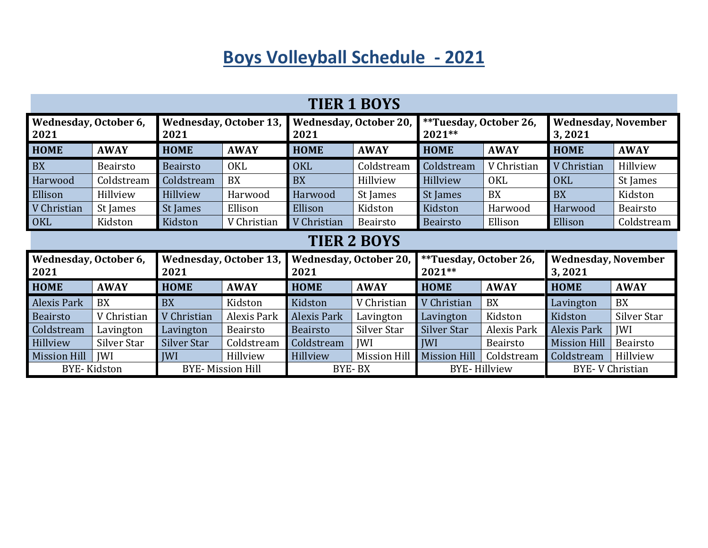## **Boys Volleyball Schedule - 2021**

| <b>TIER 1 BOYS</b>            |                 |                                       |                    |                                       |                     |                                    |             |                                      |                 |  |  |
|-------------------------------|-----------------|---------------------------------------|--------------------|---------------------------------------|---------------------|------------------------------------|-------------|--------------------------------------|-----------------|--|--|
| Wednesday, October 6,<br>2021 |                 | <b>Wednesday, October 13,</b><br>2021 |                    | <b>Wednesday, October 20,</b><br>2021 |                     | **Tuesday, October 26,<br>$2021**$ |             | <b>Wednesday, November</b><br>3,2021 |                 |  |  |
| <b>HOME</b>                   | <b>AWAY</b>     | <b>HOME</b>                           | <b>AWAY</b>        | <b>HOME</b>                           | <b>AWAY</b>         | <b>HOME</b>                        | <b>AWAY</b> | <b>HOME</b>                          | <b>AWAY</b>     |  |  |
| <b>BX</b>                     | <b>Beairsto</b> | <b>Beairsto</b>                       | <b>OKL</b>         | <b>OKL</b>                            | Coldstream          | Coldstream                         | V Christian | V Christian                          | Hillview        |  |  |
| Harwood                       | Coldstream      | Coldstream                            | <b>BX</b>          | <b>BX</b>                             | Hillview            | Hillview                           | <b>OKL</b>  | <b>OKL</b>                           | St James        |  |  |
| Ellison                       | Hillview        | Hillview                              | Harwood            | Harwood                               | St James            | St James                           | <b>BX</b>   | <b>BX</b>                            | Kidston         |  |  |
| V Christian                   | St James        | St James                              | Ellison            | Ellison                               | Kidston             | Kidston                            | Harwood     | Harwood                              | Beairsto        |  |  |
| OKL                           | Kidston         | Kidston                               | V Christian        | V Christian                           | Beairsto            | <b>Beairsto</b>                    | Ellison     | Ellison                              | Coldstream      |  |  |
| <b>TIER 2 BOYS</b>            |                 |                                       |                    |                                       |                     |                                    |             |                                      |                 |  |  |
| Wednesday, October 6,<br>2021 |                 | <b>Wednesday, October 13,</b><br>2021 |                    | <b>Wednesday, October 20,</b><br>2021 |                     | **Tuesday, October 26,<br>$2021**$ |             | <b>Wednesday, November</b><br>3,2021 |                 |  |  |
| <b>HOME</b>                   | <b>AWAY</b>     | <b>HOME</b>                           | <b>AWAY</b>        | <b>HOME</b>                           | <b>AWAY</b>         | <b>HOME</b>                        | <b>AWAY</b> | <b>HOME</b>                          | <b>AWAY</b>     |  |  |
| Alexis Park                   | BX              | <b>BX</b>                             | Kidston            | Kidston                               | V Christian         | V Christian                        | BX          | Lavington                            | BX              |  |  |
| <b>Beairsto</b>               | V Christian     | V Christian                           | <b>Alexis Park</b> | Alexis Park                           | Lavington           | Lavington                          | Kidston     | Kidston                              | Silver Star     |  |  |
| Coldstream                    | Lavington       | Lavington                             | Beairsto           | <b>Beairsto</b>                       | Silver Star         | Silver Star                        | Alexis Park | <b>Alexis Park</b>                   | <b>IWI</b>      |  |  |
| Hillview                      | Silver Star     | Silver Star                           | Coldstream         | Coldstream                            | <b>IWI</b>          | <b>IWI</b>                         | Beairsto    | <b>Mission Hill</b>                  | <b>Beairsto</b> |  |  |
|                               |                 |                                       |                    |                                       |                     |                                    |             |                                      |                 |  |  |
| <b>Mission Hill</b>           | <b>IWI</b>      | <b>IWI</b>                            | Hillview           | Hillview                              | <b>Mission Hill</b> | <b>Mission Hill</b>                | Coldstream  | Coldstream                           | Hillview        |  |  |